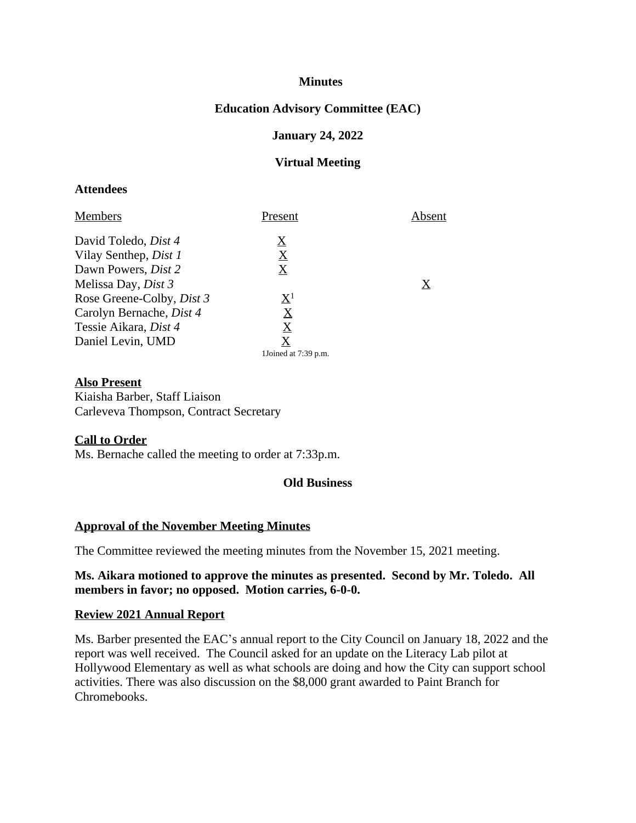## **Minutes**

# **Education Advisory Committee (EAC)**

#### **January 24, 2022**

#### **Virtual Meeting**

## **Attendees**

| <b>Members</b>                   | Present                               | Absent |
|----------------------------------|---------------------------------------|--------|
| David Toledo, <i>Dist 4</i>      | $\boldsymbol{\underline{\mathrm{X}}}$ |        |
| Vilay Senthep, <i>Dist 1</i>     | $\boldsymbol{\mathrm{X}}$             |        |
| Dawn Powers, <i>Dist</i> 2       | $\boldsymbol{\mathrm{X}}$             |        |
| Melissa Day, <i>Dist 3</i>       |                                       | X      |
| Rose Greene-Colby, <i>Dist 3</i> | $\mathrm{X}^1$                        |        |
| Carolyn Bernache, <i>Dist 4</i>  | $\underline{X}$                       |        |
| Tessie Aikara, Dist 4            | $\bf{X}$                              |        |
| Daniel Levin, UMD                | X                                     |        |
|                                  | 1Joined at 7:39 p.m.                  |        |

#### **Also Present**

Kiaisha Barber, Staff Liaison Carleveva Thompson, Contract Secretary

#### **Call to Order**

Ms. Bernache called the meeting to order at 7:33p.m.

#### **Old Business**

## **Approval of the November Meeting Minutes**

The Committee reviewed the meeting minutes from the November 15, 2021 meeting.

### **Ms. Aikara motioned to approve the minutes as presented. Second by Mr. Toledo. All members in favor; no opposed. Motion carries, 6-0-0.**

#### **Review 2021 Annual Report**

Ms. Barber presented the EAC's annual report to the City Council on January 18, 2022 and the report was well received. The Council asked for an update on the Literacy Lab pilot at Hollywood Elementary as well as what schools are doing and how the City can support school activities. There was also discussion on the \$8,000 grant awarded to Paint Branch for Chromebooks.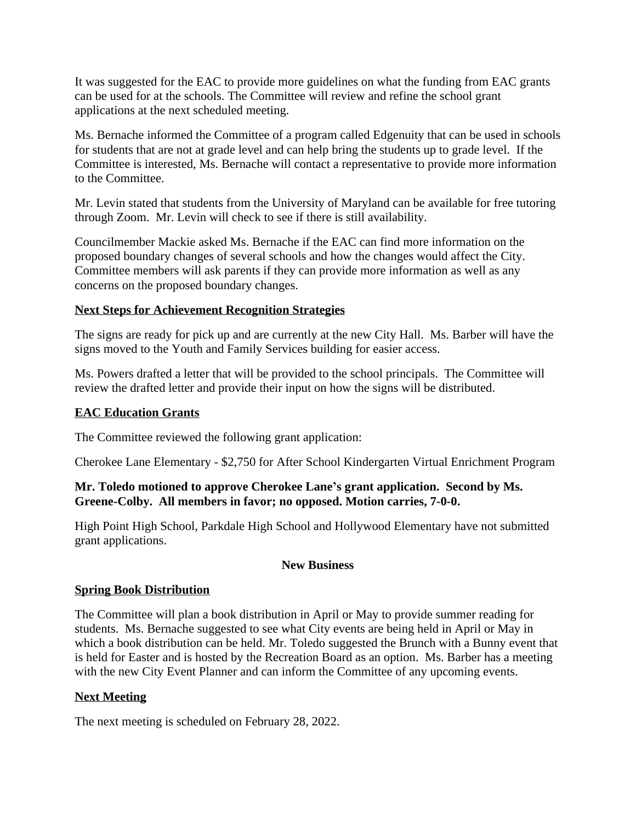It was suggested for the EAC to provide more guidelines on what the funding from EAC grants can be used for at the schools. The Committee will review and refine the school grant applications at the next scheduled meeting.

Ms. Bernache informed the Committee of a program called Edgenuity that can be used in schools for students that are not at grade level and can help bring the students up to grade level. If the Committee is interested, Ms. Bernache will contact a representative to provide more information to the Committee.

Mr. Levin stated that students from the University of Maryland can be available for free tutoring through Zoom. Mr. Levin will check to see if there is still availability.

Councilmember Mackie asked Ms. Bernache if the EAC can find more information on the proposed boundary changes of several schools and how the changes would affect the City. Committee members will ask parents if they can provide more information as well as any concerns on the proposed boundary changes.

# **Next Steps for Achievement Recognition Strategies**

The signs are ready for pick up and are currently at the new City Hall. Ms. Barber will have the signs moved to the Youth and Family Services building for easier access.

Ms. Powers drafted a letter that will be provided to the school principals. The Committee will review the drafted letter and provide their input on how the signs will be distributed.

# **EAC Education Grants**

The Committee reviewed the following grant application:

Cherokee Lane Elementary - \$2,750 for After School Kindergarten Virtual Enrichment Program

# **Mr. Toledo motioned to approve Cherokee Lane's grant application. Second by Ms. Greene-Colby. All members in favor; no opposed. Motion carries, 7-0-0.**

High Point High School, Parkdale High School and Hollywood Elementary have not submitted grant applications.

## **New Business**

# **Spring Book Distribution**

The Committee will plan a book distribution in April or May to provide summer reading for students. Ms. Bernache suggested to see what City events are being held in April or May in which a book distribution can be held. Mr. Toledo suggested the Brunch with a Bunny event that is held for Easter and is hosted by the Recreation Board as an option. Ms. Barber has a meeting with the new City Event Planner and can inform the Committee of any upcoming events.

# **Next Meeting**

The next meeting is scheduled on February 28, 2022.